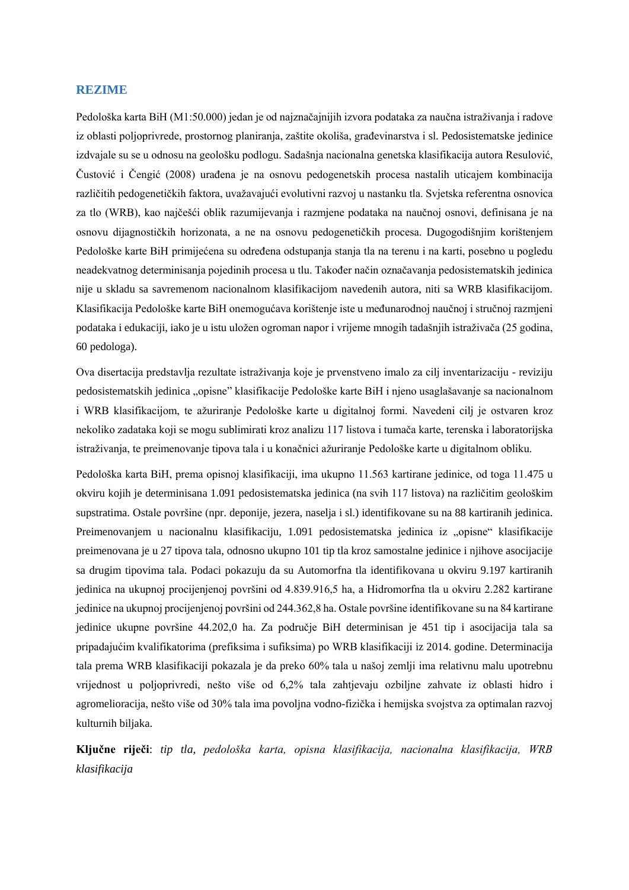## **REZIME**

Pedološka karta BiH (M1:50.000) jedan je od najznačajnijih izvora podataka za naučna istraživanja i radove iz oblasti poljoprivrede, prostornog planiranja, zaštite okoliša, građevinarstva i sl. Pedosistematske jedinice izdvajale su se u odnosu na geološku podlogu. Sadašnja nacionalna genetska klasifikacija autora Resulović, Čustović i Čengić (2008) urađena je na osnovu pedogenetskih procesa nastalih uticajem kombinacija različitih pedogenetičkih faktora, uvažavajući evolutivni razvoj u nastanku tla. Svjetska referentna osnovica za tlo (WRB), kao najčešći oblik razumijevanja i razmjene podataka na naučnoj osnovi, definisana je na osnovu dijagnostičkih horizonata, a ne na osnovu pedogenetičkih procesa. Dugogodišnjim korištenjem Pedološke karte BiH primijećena su određena odstupanja stanja tla na terenu i na karti, posebno u pogledu neadekvatnog determinisanja pojedinih procesa u tlu. Također način označavanja pedosistematskih jedinica nije u skladu sa savremenom nacionalnom klasifikacijom navedenih autora, niti sa WRB klasifikacijom. Klasifikacija Pedološke karte BiH onemogućava korištenje iste u međunarodnoj naučnoj i stručnoj razmjeni podataka i edukaciji, iako je u istu uložen ogroman napor i vrijeme mnogih tadašnjih istraživača (25 godina, 60 pedologa).

Ova disertacija predstavlja rezultate istraživanja koje je prvenstveno imalo za cilj inventarizaciju - reviziju pedosistematskih jedinica "opisne" klasifikacije Pedološke karte BiH i njeno usaglašavanje sa nacionalnom i WRB klasifikacijom, te ažuriranje Pedološke karte u digitalnoj formi. Navedeni cilj je ostvaren kroz nekoliko zadataka koji se mogu sublimirati kroz analizu 117 listova i tumača karte, terenska i laboratorijska istraživanja, te preimenovanje tipova tala i u konačnici ažuriranje Pedološke karte u digitalnom obliku.

Pedološka karta BiH, prema opisnoj klasifikaciji, ima ukupno 11.563 kartirane jedinice, od toga 11.475 u okviru kojih je determinisana 1.091 pedosistematska jedinica (na svih 117 listova) na različitim geološkim supstratima. Ostale površine (npr. deponije, jezera, naselja i sl.) identifikovane su na 88 kartiranih jedinica. Preimenovanjem u nacionalnu klasifikaciju, 1.091 pedosistematska jedinica iz "opisne" klasifikacije preimenovana je u 27 tipova tala, odnosno ukupno 101 tip tla kroz samostalne jedinice i njihove asocijacije sa drugim tipovima tala. Podaci pokazuju da su Automorfna tla identifikovana u okviru 9.197 kartiranih jedinica na ukupnoj procijenjenoj površini od 4.839.916,5 ha, a Hidromorfna tla u okviru 2.282 kartirane jedinice na ukupnoj procijenjenoj površini od 244.362,8 ha. Ostale površine identifikovane su na 84 kartirane jedinice ukupne površine 44.202,0 ha. Za područje BiH determinisan je 451 tip i asocijacija tala sa pripadajućim kvalifikatorima (prefiksima i sufiksima) po WRB klasifikaciji iz 2014. godine. Determinacija tala prema WRB klasifikaciji pokazala je da preko 60% tala u našoj zemlji ima relativnu malu upotrebnu vrijednost u poljoprivredi, nešto više od 6,2% tala zahtjevaju ozbiljne zahvate iz oblasti hidro i agromelioracija, nešto više od 30% tala ima povoljna vodno-fizička i hemijska svojstva za optimalan razvoj kulturnih biljaka.

**Ključne riječi**: *tip tla, pedološka karta, opisna klasifikacija, nacionalna klasifikacija, WRB klasifikacija*